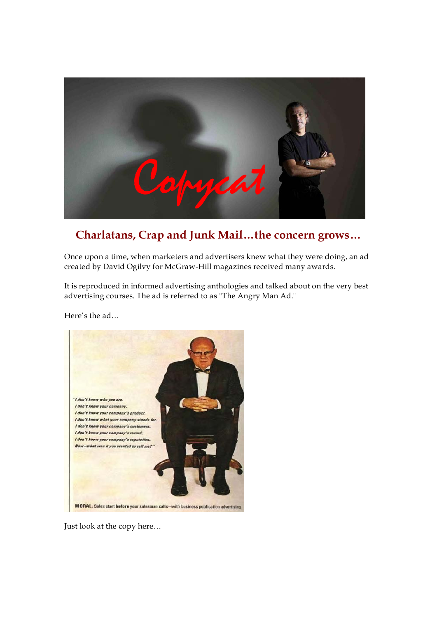

# **Charlatans, Crap and Junk Mail…the concern grows…**

Once upon a time, when marketers and advertisers knew what they were doing, an ad created by David Ogilvy for McGraw-Hill magazines received many awards.

It is reproduced in informed advertising anthologies and talked about on the very best advertising courses. The ad is referred to as "The Angry Man Ad."

Here's the ad…



Just look at the copy here…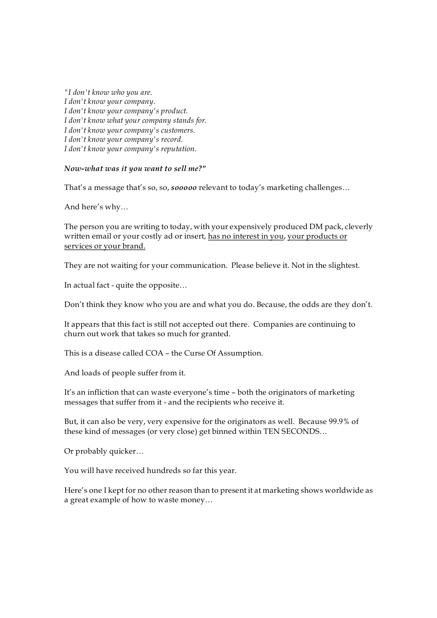*"I don't know who you are. I don't know your company. I don't know your company's product. I don't know what your company stands for. I don't know your company's customers. I don't know your company's record. I don't know your company's reputation.*

## *Nowwhat was it you want to sell me?"*

That's a message that's so, so, *sooooo* relevant to today's marketing challenges…

And here's why…

The person you are writing to today, with your expensively produced DM pack, cleverly written email or your costly ad or insert, has no interest in you, your products or services or your brand.

They are not waiting for your communication. Please believe it. Not in the slightest.

In actual fact - quite the opposite...

Don't think they know who you are and what you do. Because, the odds are they don't.

It appears that this fact is still not accepted out there. Companies are continuing to churn out work that takes so much for granted.

This is a disease called COA – the Curse Of Assumption.

And loads of people suffer from it.

It's an infliction that can waste everyone's time – both the originators of marketing messages that suffer from it - and the recipients who receive it.

But, it can also be very, very expensive for the originators as well. Because 99.9% of these kind of messages (or very close) get binned within TEN SECONDS…

Or probably quicker…

You will have received hundreds so far this year.<br>Here's one I kept for no other reason than to present it at marketing shows worldwide as a great example of how to waste money…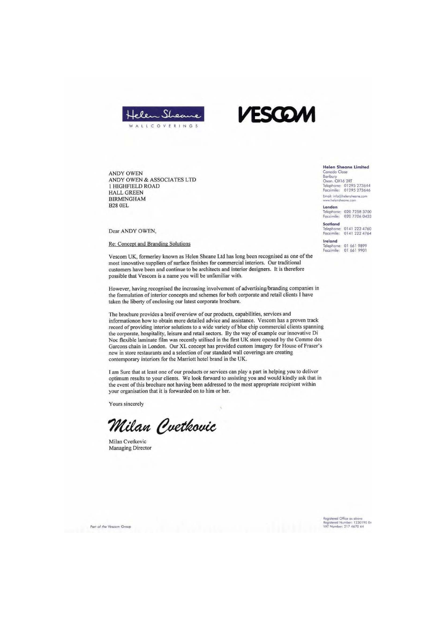



**ANDY OWEN** ANDY OWEN & ASSOCIATES LTD 1 HIGHFIELD ROAD HALL GREEN **BIRMINGHAM B28 OEL** 

Dear ANDY OWEN,

**Re: Concept and Branding Solutions** 

Vescom UK, formerley known as Helen Sheane Ltd has long been recognised as one of the most innovative suppliers of surface finishes for commercial interiors. Our traditional customers have been and continue to be architects and interior designers. It is therefore possible that Vescom is a name you will be unfamiliar with.

However, having recognised the increasing involvement of advertising/branding companies in the formulation of interior concepts and schemes for both corporate and retail clients I have taken the liberty of enclosing our latest corporate brochure.

The brochure provides a breif overview of our products, capabilities, services and informationon how to obtain more detailed advice and assistance. Vescom has a proven track record of providing interior solutions to a wide variety of blue chip commercial clients spanning the corporate, hospitality, leisure and retail sectors. By the way of example our innovative Di Noc flexible laminate film was recently utilised in the first UK store opened by the Comme des Garcons chain in London. Our XL concept has provided custom imagery for House of Fraser's new in store restaurants and a selection of our standard wall coverings are creating contemporary interiors for the Marriott hotel brand in the UK.

I am Sure that at least one of our products or services can play a part in helping you to deliver optimum results to your clients. We look forward to assisting you and would kindly ask that in the event of this brochure not having been addressed to the most appropriate recipient within your organisation that it is forwarded on to him or her.

Yours sincerely

Milan Cvetkovic

Milan Cvetkovic **Managing Director** 

Part of the Vescom Group

**Helen Sheane Limited** Canada Clos Cantaur<br>
Danbury<br>
Oxon. OX16 2RT<br>
Telephone: 01295 273644<br>
Facsimile: 01295 273646

Email: info@helensheane.com

London Telephone: 020 7258 3700<br>Facsimile: 020 7706 0433

Scotland Telephone: 0141 222 4760<br>Facsimile: 0141 222 4764 Ireland

Telephone: 01 661 9899<br>Facsimile: 01 661 9901

Registered Office as above<br>Registered Number: 1230190 En<br>VAT Number: 217 4670 64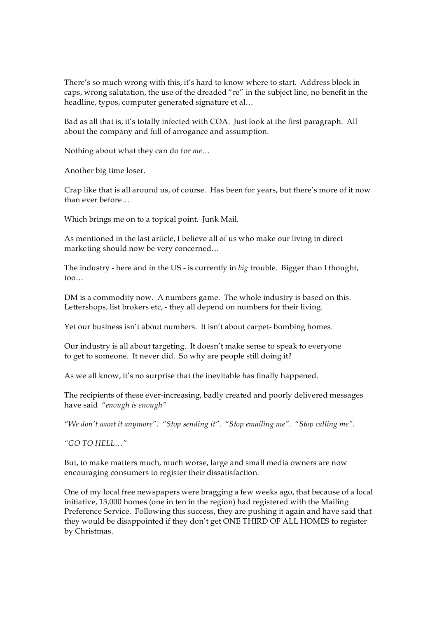There's so much wrong with this, it's hard to know where to start. Address block in caps, wrong salutation, the use of the dreaded "re" in the subject line, no benefit in the headline, typos, computer generated signature et al…

Bad as all that is, it's totally infected with COA. Just look at the first paragraph. All about the company and full of arrogance and assumption. Nothing about what they can do for *me*…

Another big time loser.

Crap like that is all around us, of course. Has been for years, but there's more of it now than ever before… Which brings me on to <sup>a</sup> topical point. Junk Mail.

As mentioned in the last article, I believe all of us who make our living in direct marketing should now be very concerned…

The industry - here and in the US - is currently in *big* trouble. Bigger than I thought, too…

DM is <sup>a</sup> commodity now. A numbers game. The whole industry is based on this. Lettershops, list brokers etc, they all depend on numbers for their living.

Yet our business isn't about numbers. It isn't about carpet-bombing homes.

Our industry is all about targeting. It doesn't make sense to speak to everyone to get to someone. It never did. So why are people still doing it?

As we all know, it's no surprise that the inevitable has finally happened.

The recipients of these ever-increasing, badly created and poorly delivered messages have said *"enough is enough"* 

*"We don't want it anymore". "Stop sending it". "Stop emailing me". "Stop calling me".* 

*"GO TO HELL…"*

But, to make matters much, much worse, large and small media owners are now encouraging consumers to register their dissatisfaction.

One of my local free newspapers were bragging a few weeks ago, that because of a local initiative, 13,000 homes (one in ten in the region) had registered with the Mailing Preference Service. Following this success, they are pushing it again and have said that they would be disappointed if they don't get ONE THIRD OF ALL HOMES to register by Christmas.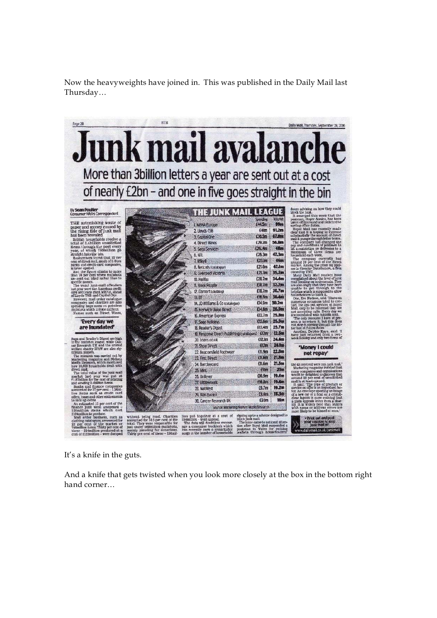Now the heavyweights have joined in. This was published in the Daily Mail last Thursday…



It's a knife in the guts.

And a knife that gets twisted when you look more closely at the box in the bottom right hand corner…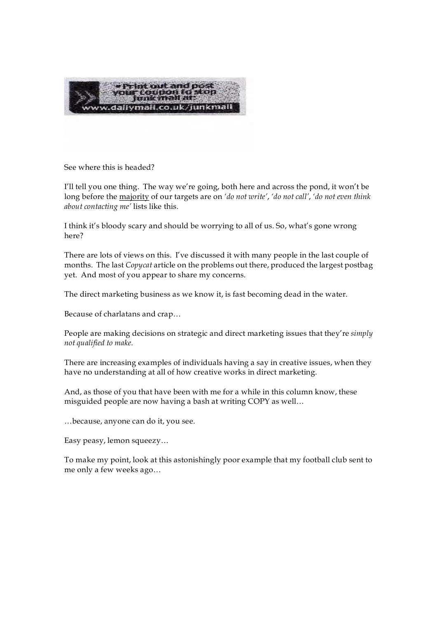

See where this is headed?

I'll tell you one thing. The way we're going, both here and across the pond, it won't be long before the majority of our targets are on *'do not write'*, *'do not call'*, *'do not even think about contacting me'* lists like this.

I think it's bloody scary and should be worrying to all of us. So, what's gone wrong here?

There are lots of views on this. I've discussed it with many people in the last couple of months. The last *Copycat* article on the problems out there, produced the largest postbag yet. And most of you appear to share my concerns.

The direct marketing business as we know it, is fast becoming dead in the water.

Because of charlatans and crap…

People are making decisions on strategic and direct marketing issues that they're *simply not qualified to make.*

There are increasing examples of individuals having a say in creative issues, when they have no understanding at all of how creative works in direct marketing.

And, as those of you that have been with me for a while in this column know, these misguided people are now having a bash at writing COPY as well… …because, anyone can do it, you see.

Easy peasy, lemon squeezy…

To make my point, look at this astonishingly poor example that my football club sent to me only a few weeks ago…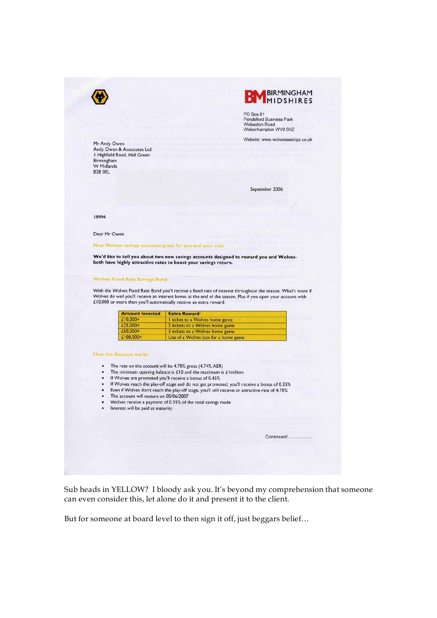



PO Box 81 Pendeford Business Park<br>Wobaston Road Wolverhampton WV9 5HZ

Website: www.wolvessavings.co.uk

Mr Andy Owen **Andy Owen**<br>Andy Owen & Associates Ltd<br>I Highfield Road, Hall Green Birmingham **W** Midlands **B28 OEL** 

September 2006

18994

Dear Mr Owen

New Wolves savings accounts-great for you and your club

We'd like to tell you about two new savings accounts designed to reward you and Wolves-<br>both have highly attractive rates to boost your savings return.

#### **Wolves Fixed Rate Savings Bond**

With the Wolves Fixed Rate Bond you'll receive a fixed rate of interest throughout the season. What's more if Wolves do well you'll receive an interest bonus at the end of the season. Plus if you open your account with £10,000 or more then you'll automatically receive an extra reward:

| <b>Amount Invested</b> | <b>Extra Reward</b>                 |
|------------------------|-------------------------------------|
| $£10,000+$             | I ticket to a Wolves home game      |
| $£25.000+$             | 2 tickets to a Wolves home game     |
| $£50.000+$             | 3 tickets to a Wolves home game     |
| $£100.000+$            | Use of a Wolves box for a home game |

#### **How the Account works**

- The rate on the account will be 4.70% gross (4.74% AER)
- The minimum opening balance is  $£10$  and the maximum is  $£1$  million
- If Wolves are promoted you'll receive a bonus of 0.45%  $\bullet$  $\cdot$
- If Wolves reach the play-off stage and do not get promoted, you'll receive a bonus of 0.35%
- Even if Wolves don't reach the play-off stage, you'll still receive an attractive rate of 4.70%
- The account will mature on 05/06/2007
- Wolves receive a payment of 0.35% of the total savings made
- · Interest will be paid at maturity

| Continued/ |
|------------|
|            |
|            |
|            |

Sub heads in YELLOW? I bloody ask you. It's beyond my comprehension that someone can even consider this, let alone do it and present it to the client.

But for someone at board level to then sign it off, just beggars belief...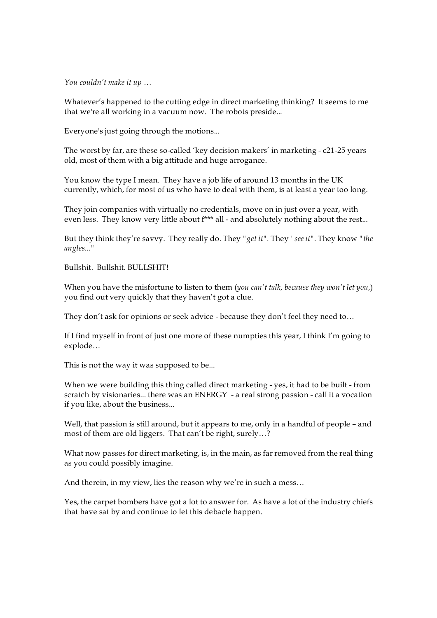*You couldn't make it up …*

Whatever's happened to the cutting edge in direct marketing thinking? It seems to me that we're all working in a vacuum now. The robots preside...

Everyone's just going through the motions...

The worst by far, are these so-called 'key decision makers' in marketing  $-c21-25$  years old, most of them with a big attitude and huge arrogance.

You know the type I mean. They have a job life of around 13 months in the UK currently, which, for most of us who have to deal with them, is at least a year too long.

They join companies with virtually no credentials, move on in just over a year, with even less. They know very little about f\*\*\* all - and absolutely nothing about the rest...

But they think they're savvy. They really do. They *"get it".* They *"see it".* They know *"the angles..."*

Bullshit. Bullshit. BULLSHIT!

When you have the misfortune to listen to them (*you can't talk, because they won't let you,*) you find out very quickly that they haven't got a clue.

They don't ask for opinions or seek advice - because they don't feel they need to...

If I find myself in front of just one more of these numpties this year, I think I'm going to explode…

This is not the way it was supposed to be...<br>When we were building this thing called direct marketing - yes, it had to be built - from scratch by visionaries... there was an ENERGY - a real strong passion - call it a vocation if you like, about the business... Well, that passion is still around, but it appears to me, only in <sup>a</sup> handful of people – and

most of them are old liggers. That can't be right, surely…?

What now passes for direct marketing, is, in the main, as far removed from the real thing as you could possibly imagine.

And therein, in my view, lies the reason why we're in such a mess…

Yes, the carpet bombers have got a lot to answer for. As have a lot of the industry chiefs that have sat by and continue to let this debacle happen.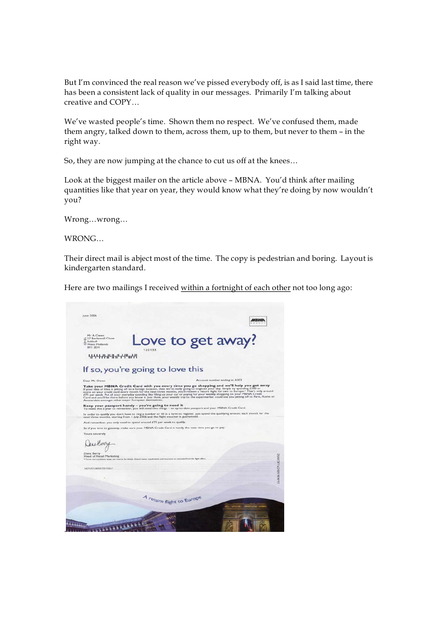But I'm convinced the real reason we've pissed everybody off, is as I said last time, there has been a consistent lack of quality in our messages. Primarily I'm talking about

creative and COPY...<br>We've wasted people's time. Shown them no respect. We've confused them, made them angry, talked down to them, across them, up to them, but never to them – in the right way.

So, they are now jumping at the chance to cut us off at the knees…

Look at the biggest mailer on the article above – MBNA. You'd think after mailing quantities like that year on year, they would know what they're doing by now wouldn't you?

Wrong…wrong… WRONG…

Their direct mail is abject most of the time. The copy is pedestrian and boring. Layout is

kindergarten standard.<br>Here are two mailings I received within a fortnight of each other not too long ago:

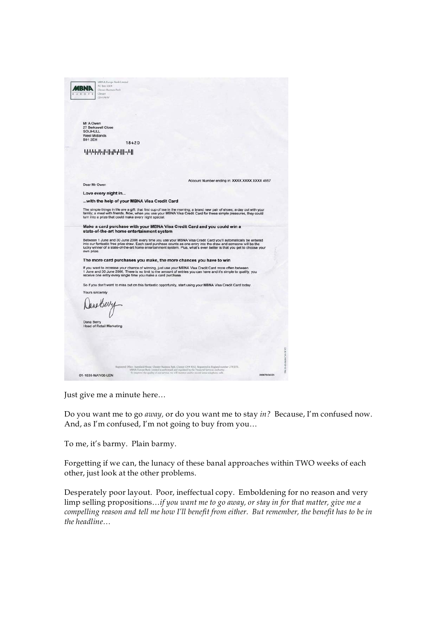|                      | MBNA Europe Bank Limited<br>PO Bes 1004                                                                                                                                                                                                                                                                  |              |
|----------------------|----------------------------------------------------------------------------------------------------------------------------------------------------------------------------------------------------------------------------------------------------------------------------------------------------------|--------------|
|                      | Chester Business Park                                                                                                                                                                                                                                                                                    |              |
| <b>BOP</b><br>w      | Chriter <sup>1</sup><br>CH4 QWW                                                                                                                                                                                                                                                                          |              |
|                      |                                                                                                                                                                                                                                                                                                          |              |
|                      |                                                                                                                                                                                                                                                                                                          |              |
|                      |                                                                                                                                                                                                                                                                                                          |              |
|                      |                                                                                                                                                                                                                                                                                                          |              |
| Mr A Owen            |                                                                                                                                                                                                                                                                                                          |              |
| <b>SOLIHULL</b>      | 27 Berkswell Close                                                                                                                                                                                                                                                                                       |              |
| <b>West Midlands</b> |                                                                                                                                                                                                                                                                                                          |              |
| <b>B91 2EH</b>       | 18420                                                                                                                                                                                                                                                                                                    |              |
|                      |                                                                                                                                                                                                                                                                                                          |              |
|                      | կեկներկցիկիվիցիկիցներ                                                                                                                                                                                                                                                                                    |              |
|                      |                                                                                                                                                                                                                                                                                                          |              |
|                      |                                                                                                                                                                                                                                                                                                          |              |
|                      |                                                                                                                                                                                                                                                                                                          |              |
|                      |                                                                                                                                                                                                                                                                                                          |              |
| Dear Mr Owen         | Account Number ending in: XXXX XXXX XXXX 4957                                                                                                                                                                                                                                                            |              |
|                      |                                                                                                                                                                                                                                                                                                          |              |
|                      | Love every night in                                                                                                                                                                                                                                                                                      |              |
|                      | with the help of your MBNA Visa Credit Card                                                                                                                                                                                                                                                              |              |
|                      |                                                                                                                                                                                                                                                                                                          |              |
|                      | The simple things in life are a gift: that first cup of tea in the morning; a brand new pair of shoes; a day out with your<br>family; a meal with friends. Now, when you use your MBNA Visa Credit Card for these simple pleasures, they could<br>turn into a prize that could make every night special. |              |
|                      |                                                                                                                                                                                                                                                                                                          |              |
|                      | Make a card purchase with your MBNA Visa Credit Card and you could win a<br>state-of-the-art home entertainment system                                                                                                                                                                                   |              |
|                      |                                                                                                                                                                                                                                                                                                          |              |
|                      | Between 1 June and 30 June 2006 every time you use your MBNA Visa Credit Card you'll automatically be entered                                                                                                                                                                                            |              |
|                      | into our fantastic free prize draw. Each card purchase counts as one entry into the draw and someone will be the<br>lucky winner of a state-of-the-art home entertainment system. Plus, what's even better is that you get to choose your                                                                |              |
| own prize.           |                                                                                                                                                                                                                                                                                                          |              |
|                      | The more card purchases you make, the more chances you have to win                                                                                                                                                                                                                                       |              |
|                      |                                                                                                                                                                                                                                                                                                          |              |
|                      | If you want to increase your chance of winning, just use your MBNA Visa Credit Card more often between<br>1 June and 30 June 2006. There is no limit to the amount of entries you can have and it's simple to qualify, you                                                                               |              |
|                      | receive one entry every single time you make a card purchase.                                                                                                                                                                                                                                            |              |
|                      |                                                                                                                                                                                                                                                                                                          |              |
|                      | So if you don't want to miss out on this fantastic opportunity, start using your MBNA Visa Credit Card today.                                                                                                                                                                                            |              |
|                      | Yours sincerely                                                                                                                                                                                                                                                                                          |              |
|                      |                                                                                                                                                                                                                                                                                                          |              |
|                      |                                                                                                                                                                                                                                                                                                          |              |
|                      |                                                                                                                                                                                                                                                                                                          |              |
|                      |                                                                                                                                                                                                                                                                                                          |              |
| Dana Berry           |                                                                                                                                                                                                                                                                                                          |              |
|                      | <b>Head of Retail Marketing</b>                                                                                                                                                                                                                                                                          |              |
|                      |                                                                                                                                                                                                                                                                                                          |              |
|                      |                                                                                                                                                                                                                                                                                                          |              |
|                      |                                                                                                                                                                                                                                                                                                          |              |
|                      |                                                                                                                                                                                                                                                                                                          |              |
|                      |                                                                                                                                                                                                                                                                                                          |              |
|                      |                                                                                                                                                                                                                                                                                                          |              |
|                      | Registered Office: Stamfield House, Chester Bustness Park, Chester CH4 9QQ: Registered in England number 2783231.<br>MBNA Europe Bank Limited is suthorised and regulated by the Fituricial Services Authority.                                                                                          |              |
|                      | To improve the quality of our service, we will monitor and/or record some telephone calls.<br>01-1635-MAY06-LEN                                                                                                                                                                                          | 200678/24323 |
|                      |                                                                                                                                                                                                                                                                                                          |              |

Just give me a minute here…

Do you want me to go *away,* or do you want me to stay *in?* Because, I'm confused now. And, as I'm confused, I'm not going to buy from you…

To me, it's barmy. Plain barmy.

Forgetting if we can, the lunacy of these banal approaches within TWO weeks of each other, just look at the other problems.

Desperately poor layout. Poor, ineffectual copy. Emboldening for no reason and very limp selling propositions…*if you want me to go away, or stay in for that matter, give me a compelling reason and tell me how I'll benefit from either. But remember, the benefit has to be in the headline…*